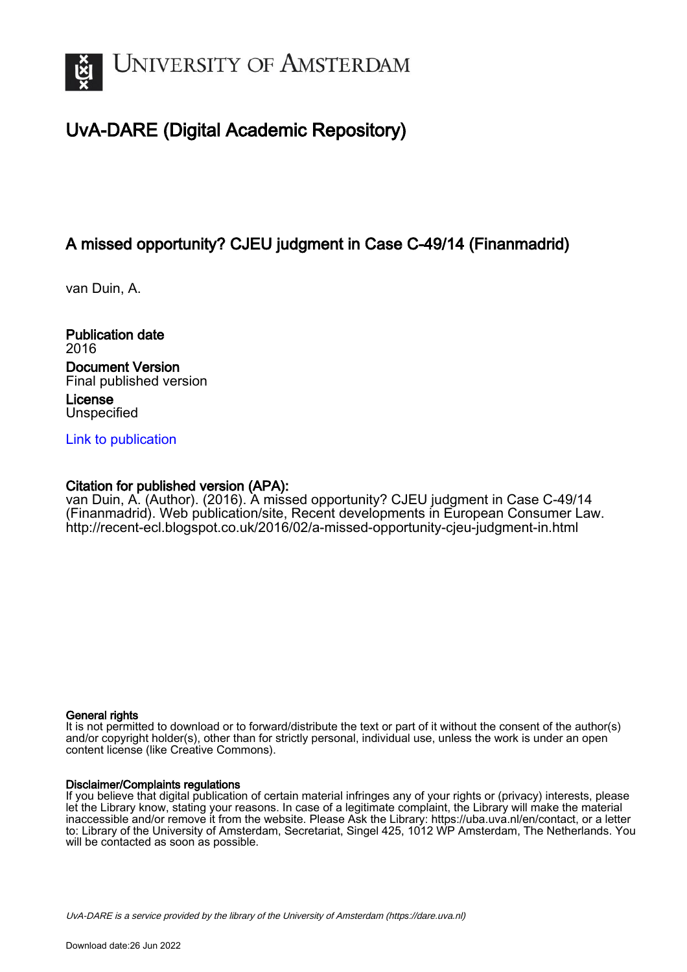

# UvA-DARE (Digital Academic Repository)

# A missed opportunity? CJEU judgment in Case C-49/14 (Finanmadrid)

van Duin, A.

Publication date 2016 Document Version Final published version License **Unspecified** 

[Link to publication](https://dare.uva.nl/personal/pure/en/publications/a-missed-opportunity-cjeu-judgment-in-case-c4914-finanmadrid(6a6c8353-e051-4e66-a43f-3b7e66f58cf4).html)

# Citation for published version (APA):

van Duin, A. (Author). (2016). A missed opportunity? CJEU judgment in Case C-49/14 (Finanmadrid). Web publication/site, Recent developments in European Consumer Law. <http://recent-ecl.blogspot.co.uk/2016/02/a-missed-opportunity-cjeu-judgment-in.html>

# General rights

It is not permitted to download or to forward/distribute the text or part of it without the consent of the author(s) and/or copyright holder(s), other than for strictly personal, individual use, unless the work is under an open content license (like Creative Commons).

# Disclaimer/Complaints regulations

If you believe that digital publication of certain material infringes any of your rights or (privacy) interests, please let the Library know, stating your reasons. In case of a legitimate complaint, the Library will make the material inaccessible and/or remove it from the website. Please Ask the Library: https://uba.uva.nl/en/contact, or a letter to: Library of the University of Amsterdam, Secretariat, Singel 425, 1012 WP Amsterdam, The Netherlands. You will be contacted as soon as possible.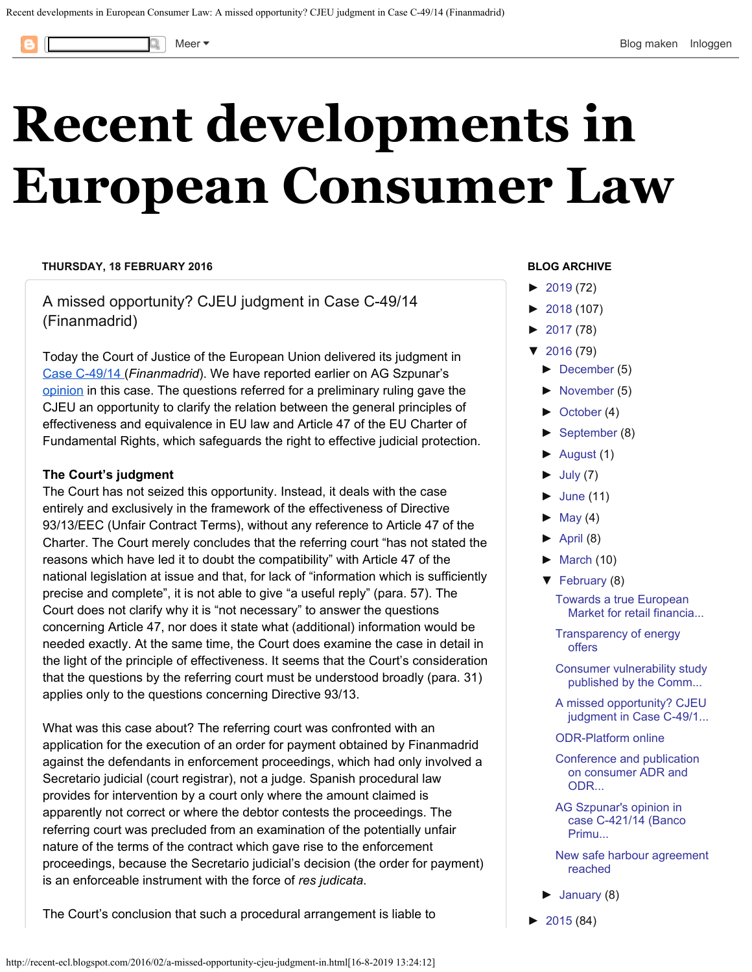<span id="page-1-0"></span>

# **[Recent developments in](http://recent-ecl.blogspot.com/) [European Consumer Law](http://recent-ecl.blogspot.com/)**

#### **THURSDAY, 18 FEBRUARY 2016**

A missed opportunity? CJEU judgment in Case C-49/14 (Finanmadrid)

Today the Court of Justice of the European Union delivered its judgment in [Case C-49/14](http://curia.europa.eu/juris/documents.jsf?num=C-49/14) (*Finanmadrid*). We have reported earlier on AG Szpunar's [opinion](http://recent-ecl.blogspot.nl/2015/11/execution-proceedings-enriched-with.html) in this case. The questions referred for a preliminary ruling gave the CJEU an opportunity to clarify the relation between the general principles of effectiveness and equivalence in EU law and Article 47 of the EU Charter of Fundamental Rights, which safeguards the right to effective judicial protection.

#### **The Court's judgment**

The Court has not seized this opportunity. Instead, it deals with the case entirely and exclusively in the framework of the effectiveness of Directive 93/13/EEC (Unfair Contract Terms), without any reference to Article 47 of the Charter. The Court merely concludes that the referring court "has not stated the reasons which have led it to doubt the compatibility" with Article 47 of the national legislation at issue and that, for lack of "information which is sufficiently precise and complete", it is not able to give "a useful reply" (para. 57). The Court does not clarify why it is "not necessary" to answer the questions concerning Article 47, nor does it state what (additional) information would be needed exactly. At the same time, the Court does examine the case in detail in the light of the principle of effectiveness. It seems that the Court's consideration that the questions by the referring court must be understood broadly (para. 31) applies only to the questions concerning Directive 93/13.

What was this case about? The referring court was confronted with an application for the execution of an order for payment obtained by Finanmadrid against the defendants in enforcement proceedings, which had only involved a Secretario judicial (court registrar), not a judge. Spanish procedural law provides for intervention by a court only where the amount claimed is apparently not correct or where the debtor contests the proceedings. The referring court was precluded from an examination of the potentially unfair nature of the terms of the contract which gave rise to the enforcement proceedings, because the Secretario judicial's decision (the order for payment) is an enforceable instrument with the force of *res judicata*.

The Court's conclusion that such a procedural arrangement is liable to

#### **BLOG ARCHIVE**

- $\blacktriangleright$ [2019](http://recent-ecl.blogspot.com/2019/) (72)
- [►](javascript:void(0))[2018](http://recent-ecl.blogspot.com/2018/) (107)
- $\blacktriangleright$ [2017](http://recent-ecl.blogspot.com/2017/) (78)
- [▼](javascript:void(0))[2016](http://recent-ecl.blogspot.com/2016/) (79)
	- [►](javascript:void(0))[December](http://recent-ecl.blogspot.com/2016/12/) (5)
	- [►](javascript:void(0))[November](http://recent-ecl.blogspot.com/2016/11/) (5)
	- [►](javascript:void(0))[October](http://recent-ecl.blogspot.com/2016/10/) (4)
	- [►](javascript:void(0))[September](http://recent-ecl.blogspot.com/2016/09/) (8)
	- [►](javascript:void(0))[August](http://recent-ecl.blogspot.com/2016/08/) (1)
	- $\blacktriangleright$ [July](http://recent-ecl.blogspot.com/2016/07/) (7)
	- $\blacktriangleright$ [June](http://recent-ecl.blogspot.com/2016/06/) (11)
	- $\blacktriangleright$ [May](http://recent-ecl.blogspot.com/2016/05/) (4)
	- $\blacktriangleright$ [April](http://recent-ecl.blogspot.com/2016/04/) (8)
	- $\blacktriangleright$ [March](http://recent-ecl.blogspot.com/2016/03/) (10)
	- [▼](javascript:void(0))[February](http://recent-ecl.blogspot.com/2016/02/) (8)

[Towards a true European](http://recent-ecl.blogspot.com/2016/02/towards-true-european-market-for-retail.html) [Market for retail financia...](http://recent-ecl.blogspot.com/2016/02/towards-true-european-market-for-retail.html)

[Transparency of energy](http://recent-ecl.blogspot.com/2016/02/transparency-of-energy-offers.html) [offers](http://recent-ecl.blogspot.com/2016/02/transparency-of-energy-offers.html)

[Consumer vulnerability study](http://recent-ecl.blogspot.com/2016/02/consumer-vulnerability-study-published.html) [published by the Comm...](http://recent-ecl.blogspot.com/2016/02/consumer-vulnerability-study-published.html)

- [A missed opportunity? CJEU](#page-1-0) [judgment in Case C-49/1...](#page-1-0)
- [ODR-Platform online](http://recent-ecl.blogspot.com/2016/02/odr-platform-online.html)

[Conference and publication](http://recent-ecl.blogspot.com/2016/02/conference-and-publication-on-consumer.html) [on consumer ADR and](http://recent-ecl.blogspot.com/2016/02/conference-and-publication-on-consumer.html) [ODR...](http://recent-ecl.blogspot.com/2016/02/conference-and-publication-on-consumer.html)

[AG Szpunar's opinion in](http://recent-ecl.blogspot.com/2016/02/ag-szpunars-opinion-in-case-c-42114.html) [case C-421/14 \(Banco](http://recent-ecl.blogspot.com/2016/02/ag-szpunars-opinion-in-case-c-42114.html) [Primu...](http://recent-ecl.blogspot.com/2016/02/ag-szpunars-opinion-in-case-c-42114.html)

[New safe harbour agreement](http://recent-ecl.blogspot.com/2016/02/new-safe-harbour-agreement-reached.html) [reached](http://recent-ecl.blogspot.com/2016/02/new-safe-harbour-agreement-reached.html)

[►](javascript:void(0))[January](http://recent-ecl.blogspot.com/2016/01/) (8)

 $\blacktriangleright$ [2015](http://recent-ecl.blogspot.com/2015/) (84)